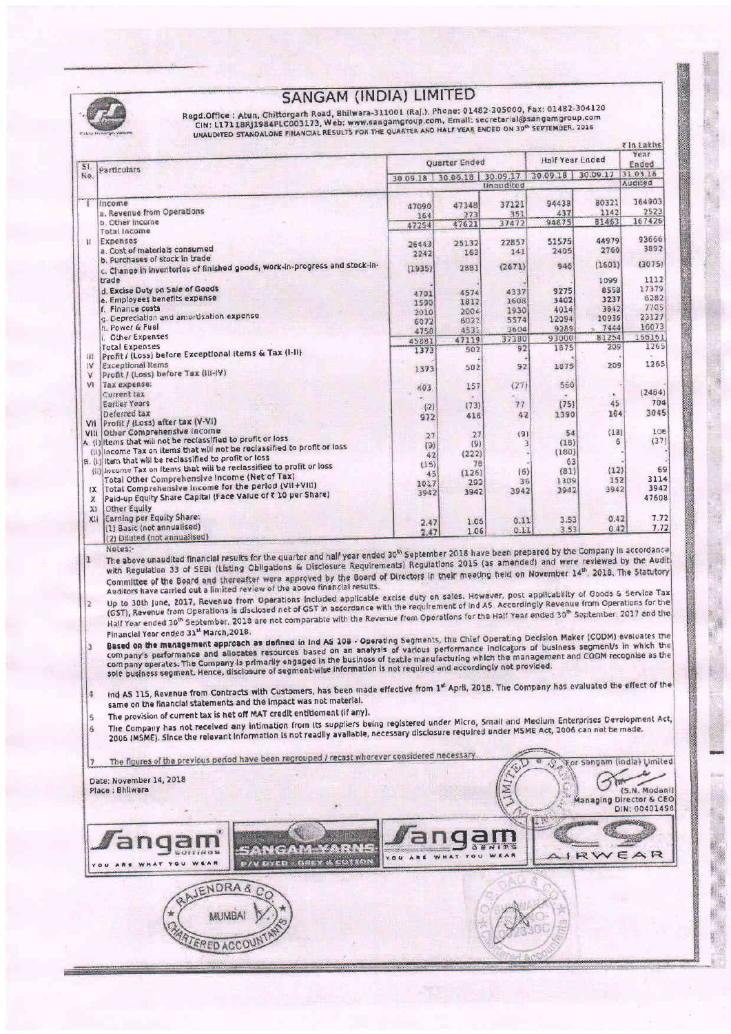|                  |                                                                                                                                                                                                                                                                                                                                                                                                                                                                                                                                                                                                                                                                                                                                                                                                                                                                                                                                                                                                                                                                                                                                                                                                                                                                                                                                                                                                                                                                                                                                                                                                                                                                                                                                                                                                                                                                                                                                                                                                                   |                   | Quarter Ended |               | Half Year Ended            |                            | <b>Tin Lakhs</b><br>Year<br>Ended |
|------------------|-------------------------------------------------------------------------------------------------------------------------------------------------------------------------------------------------------------------------------------------------------------------------------------------------------------------------------------------------------------------------------------------------------------------------------------------------------------------------------------------------------------------------------------------------------------------------------------------------------------------------------------------------------------------------------------------------------------------------------------------------------------------------------------------------------------------------------------------------------------------------------------------------------------------------------------------------------------------------------------------------------------------------------------------------------------------------------------------------------------------------------------------------------------------------------------------------------------------------------------------------------------------------------------------------------------------------------------------------------------------------------------------------------------------------------------------------------------------------------------------------------------------------------------------------------------------------------------------------------------------------------------------------------------------------------------------------------------------------------------------------------------------------------------------------------------------------------------------------------------------------------------------------------------------------------------------------------------------------------------------------------------------|-------------------|---------------|---------------|----------------------------|----------------------------|-----------------------------------|
| 51<br>No.        | Particulars                                                                                                                                                                                                                                                                                                                                                                                                                                                                                                                                                                                                                                                                                                                                                                                                                                                                                                                                                                                                                                                                                                                                                                                                                                                                                                                                                                                                                                                                                                                                                                                                                                                                                                                                                                                                                                                                                                                                                                                                       | 30.09.18 30.06.18 |               |               | 30.09.17 30.09.18 30.09.17 |                            | 31.03.18                          |
|                  |                                                                                                                                                                                                                                                                                                                                                                                                                                                                                                                                                                                                                                                                                                                                                                                                                                                                                                                                                                                                                                                                                                                                                                                                                                                                                                                                                                                                                                                                                                                                                                                                                                                                                                                                                                                                                                                                                                                                                                                                                   |                   |               | Unaudited     |                            |                            | <b>Audited</b>                    |
| T                | Income                                                                                                                                                                                                                                                                                                                                                                                                                                                                                                                                                                                                                                                                                                                                                                                                                                                                                                                                                                                                                                                                                                                                                                                                                                                                                                                                                                                                                                                                                                                                                                                                                                                                                                                                                                                                                                                                                                                                                                                                            | 47090             | 47348         | 37121         | 94438                      | 80321                      | 164903<br>2523                    |
|                  | a. Revenue from Operations<br>b. Other income                                                                                                                                                                                                                                                                                                                                                                                                                                                                                                                                                                                                                                                                                                                                                                                                                                                                                                                                                                                                                                                                                                                                                                                                                                                                                                                                                                                                                                                                                                                                                                                                                                                                                                                                                                                                                                                                                                                                                                     | 164<br>47254      | 273<br>47621  | 351<br>37472  | 437<br>94875               | 1142<br>81463              | 167426                            |
| H.               | Total Income                                                                                                                                                                                                                                                                                                                                                                                                                                                                                                                                                                                                                                                                                                                                                                                                                                                                                                                                                                                                                                                                                                                                                                                                                                                                                                                                                                                                                                                                                                                                                                                                                                                                                                                                                                                                                                                                                                                                                                                                      |                   |               |               |                            | 44979                      | 93666                             |
|                  | Expenses<br>a. Cost of materials consumed                                                                                                                                                                                                                                                                                                                                                                                                                                                                                                                                                                                                                                                                                                                                                                                                                                                                                                                                                                                                                                                                                                                                                                                                                                                                                                                                                                                                                                                                                                                                                                                                                                                                                                                                                                                                                                                                                                                                                                         | 26443<br>2242     | 25132<br>163  | 22857<br>141  | 51575<br>2405              | 2760                       | 3892                              |
|                  | b. Purchases of stock in trade<br>c. Change in inventories of finished goods, work-in-progress and stock-in-                                                                                                                                                                                                                                                                                                                                                                                                                                                                                                                                                                                                                                                                                                                                                                                                                                                                                                                                                                                                                                                                                                                                                                                                                                                                                                                                                                                                                                                                                                                                                                                                                                                                                                                                                                                                                                                                                                      | (1935)            | 2881          | (2671)        | 946                        | (1601)                     | (3075)                            |
|                  | trade                                                                                                                                                                                                                                                                                                                                                                                                                                                                                                                                                                                                                                                                                                                                                                                                                                                                                                                                                                                                                                                                                                                                                                                                                                                                                                                                                                                                                                                                                                                                                                                                                                                                                                                                                                                                                                                                                                                                                                                                             |                   |               |               |                            | 1099                       | 1112                              |
|                  | d. Excise Duty on Sale of Goods                                                                                                                                                                                                                                                                                                                                                                                                                                                                                                                                                                                                                                                                                                                                                                                                                                                                                                                                                                                                                                                                                                                                                                                                                                                                                                                                                                                                                                                                                                                                                                                                                                                                                                                                                                                                                                                                                                                                                                                   | 4701              | 4574          | 4337          | 9275                       | 8558                       | 17379                             |
|                  | e. Employees benefits expense<br>f. Finance costs                                                                                                                                                                                                                                                                                                                                                                                                                                                                                                                                                                                                                                                                                                                                                                                                                                                                                                                                                                                                                                                                                                                                                                                                                                                                                                                                                                                                                                                                                                                                                                                                                                                                                                                                                                                                                                                                                                                                                                 | 1590              | 1812<br>2004  | 1608<br>1930  | 3402<br>4014               | 3237<br>3842               | 6282<br>7705                      |
|                  | g. Depreciation and amortisation expense                                                                                                                                                                                                                                                                                                                                                                                                                                                                                                                                                                                                                                                                                                                                                                                                                                                                                                                                                                                                                                                                                                                                                                                                                                                                                                                                                                                                                                                                                                                                                                                                                                                                                                                                                                                                                                                                                                                                                                          | 2010<br>6072      | 6022          | 5574          | 12094                      | 10936                      | 23127                             |
|                  | h. Power & Fuel<br>i. Other Expenses                                                                                                                                                                                                                                                                                                                                                                                                                                                                                                                                                                                                                                                                                                                                                                                                                                                                                                                                                                                                                                                                                                                                                                                                                                                                                                                                                                                                                                                                                                                                                                                                                                                                                                                                                                                                                                                                                                                                                                              | 4758              | 4531          | 3604<br>37380 | 9289<br>93000              | 7444<br>81254              | 16073<br>156161                   |
|                  | <b>Total Expenses</b>                                                                                                                                                                                                                                                                                                                                                                                                                                                                                                                                                                                                                                                                                                                                                                                                                                                                                                                                                                                                                                                                                                                                                                                                                                                                                                                                                                                                                                                                                                                                                                                                                                                                                                                                                                                                                                                                                                                                                                                             | 45881<br>1373     | 47119<br>502  | 92            | 1875                       | 209                        | 1265                              |
| W<br>1V          | Profit / (Loss) before Exceptional Items & Tax (I-II)<br><b>Exceptional Items</b>                                                                                                                                                                                                                                                                                                                                                                                                                                                                                                                                                                                                                                                                                                                                                                                                                                                                                                                                                                                                                                                                                                                                                                                                                                                                                                                                                                                                                                                                                                                                                                                                                                                                                                                                                                                                                                                                                                                                 |                   |               | 92            | 1875                       | 209                        | 1265                              |
| v                | Profit / (Loss) before Tax (III-IV)                                                                                                                                                                                                                                                                                                                                                                                                                                                                                                                                                                                                                                                                                                                                                                                                                                                                                                                                                                                                                                                                                                                                                                                                                                                                                                                                                                                                                                                                                                                                                                                                                                                                                                                                                                                                                                                                                                                                                                               | 1373              | 502           |               |                            |                            |                                   |
| ٧I               | Tax expense:<br>Current tax                                                                                                                                                                                                                                                                                                                                                                                                                                                                                                                                                                                                                                                                                                                                                                                                                                                                                                                                                                                                                                                                                                                                                                                                                                                                                                                                                                                                                                                                                                                                                                                                                                                                                                                                                                                                                                                                                                                                                                                       | 403               | 157           | (2)           | 560                        |                            | (2484)                            |
|                  | <b>Earlier Years</b>                                                                                                                                                                                                                                                                                                                                                                                                                                                                                                                                                                                                                                                                                                                                                                                                                                                                                                                                                                                                                                                                                                                                                                                                                                                                                                                                                                                                                                                                                                                                                                                                                                                                                                                                                                                                                                                                                                                                                                                              | (2)               | (73)          | 77            | (75)                       | 45                         | 704                               |
|                  | Deferred tax<br>VII Profit / (Loss) after tax (V-VI)                                                                                                                                                                                                                                                                                                                                                                                                                                                                                                                                                                                                                                                                                                                                                                                                                                                                                                                                                                                                                                                                                                                                                                                                                                                                                                                                                                                                                                                                                                                                                                                                                                                                                                                                                                                                                                                                                                                                                              | 972               | 418           | 42            | 1390                       | 164                        | 3045                              |
| VIII             | Other Comprehensive Income                                                                                                                                                                                                                                                                                                                                                                                                                                                                                                                                                                                                                                                                                                                                                                                                                                                                                                                                                                                                                                                                                                                                                                                                                                                                                                                                                                                                                                                                                                                                                                                                                                                                                                                                                                                                                                                                                                                                                                                        | 27                | 27            | (9)           | 54                         | (18)                       | 106                               |
|                  | A. (i) Items that will not be reclassified to profit or loss<br>(ii) income Tax on items that will not be reclassified to profit or loss                                                                                                                                                                                                                                                                                                                                                                                                                                                                                                                                                                                                                                                                                                                                                                                                                                                                                                                                                                                                                                                                                                                                                                                                                                                                                                                                                                                                                                                                                                                                                                                                                                                                                                                                                                                                                                                                          | (9)               | (9)           | 3             | (18)                       | 6                          | (37)                              |
|                  | B. (i) Item that will be reclassified to profit or loss                                                                                                                                                                                                                                                                                                                                                                                                                                                                                                                                                                                                                                                                                                                                                                                                                                                                                                                                                                                                                                                                                                                                                                                                                                                                                                                                                                                                                                                                                                                                                                                                                                                                                                                                                                                                                                                                                                                                                           | 42<br>(15)        | (222)<br>78   |               | (180)<br>63                |                            |                                   |
|                  | (ii) income Tax on Items that will be reclassified to profit or loss<br>Total Other Comprehensive Income (Net of Tax)                                                                                                                                                                                                                                                                                                                                                                                                                                                                                                                                                                                                                                                                                                                                                                                                                                                                                                                                                                                                                                                                                                                                                                                                                                                                                                                                                                                                                                                                                                                                                                                                                                                                                                                                                                                                                                                                                             | 45                | (126)         | (6)           | (81)                       | (12)                       | 3114                              |
|                  | IX Total Comprehensive income for the period (VII+VIII)                                                                                                                                                                                                                                                                                                                                                                                                                                                                                                                                                                                                                                                                                                                                                                                                                                                                                                                                                                                                                                                                                                                                                                                                                                                                                                                                                                                                                                                                                                                                                                                                                                                                                                                                                                                                                                                                                                                                                           | 1017<br>3942      | 292<br>3942   | 36<br>3942    | 1309<br>3942               | 152<br>3942                | 3942                              |
| ×                | Paid-up Equity Share Capital (Face Value of ₹ 10 per Share)                                                                                                                                                                                                                                                                                                                                                                                                                                                                                                                                                                                                                                                                                                                                                                                                                                                                                                                                                                                                                                                                                                                                                                                                                                                                                                                                                                                                                                                                                                                                                                                                                                                                                                                                                                                                                                                                                                                                                       |                   |               |               |                            |                            | 47608                             |
| 刈                | Other Equity                                                                                                                                                                                                                                                                                                                                                                                                                                                                                                                                                                                                                                                                                                                                                                                                                                                                                                                                                                                                                                                                                                                                                                                                                                                                                                                                                                                                                                                                                                                                                                                                                                                                                                                                                                                                                                                                                                                                                                                                      |                   |               |               |                            |                            |                                   |
|                  |                                                                                                                                                                                                                                                                                                                                                                                                                                                                                                                                                                                                                                                                                                                                                                                                                                                                                                                                                                                                                                                                                                                                                                                                                                                                                                                                                                                                                                                                                                                                                                                                                                                                                                                                                                                                                                                                                                                                                                                                                   |                   |               |               |                            |                            |                                   |
|                  | XII Earning per Equity Share:<br>(1) Basic (not annualised)<br>(2) Diluted (not annualised)<br>The above unaudited financial results for the quarter and half year ended 30 <sup>th</sup> September 2018 have been prepared by the Company in accordance<br>with Regulation 33 of SEBI (Listing Obligations & Disclosure Requirements) Regulations 2015 (as amended) and were reviewed by the Audit.                                                                                                                                                                                                                                                                                                                                                                                                                                                                                                                                                                                                                                                                                                                                                                                                                                                                                                                                                                                                                                                                                                                                                                                                                                                                                                                                                                                                                                                                                                                                                                                                              | 2.47<br>2.47      | 1.06<br>1.06  | 0.11<br>0.11  | 3.53<br>3.53               | 0.42<br>0.42               |                                   |
| 4<br>5<br>6<br>7 | Committee of the Board and thereafter were approved by the Board of Directors in their meeting held on November 14th, 2018, The Statutory<br>Auditors have carried out a limited review of the above financial results.<br>Up to 30th june, 2017, Revenue from Operations Included applicable excise duty on sales. However, post applicability of Goods & Service Tax<br>(GST), Revenue from Operations is disclosed net of GST in accordance with the requirement of Ind AS. Accordingly Revenue from Operations for the<br>Half Year ended 30 <sup>th</sup> September, 2018 are not comparable with the Revenue from Operations for the Half Year ended 30 <sup>th</sup> September, 2017 and the<br>Financial Year ended 31st March, 2018.<br>Based on the management approach as defined in Ind AS 108 - Operating Segments, the Chief Operating Decision Maker (CODM) evaluates the<br>company's performance and allocates resources based on an analysis of various performance indicators of business segment/s in which the<br>company operates. The Company is primarily engaged in the business of textile manufacturing which the management and CODM recognise as the<br>sole business segment. Hence, disclosure of segment-wise information is not required and accordingly not provided.<br>Ind AS 115, Revenue from Contracts with Customers, has been made effective from 1 <sup>th</sup> April, 2018. The Company has evaluated the effect of the<br>same on the financial statements and the impact was not material.<br>The provision of current tax is net off MAT credit entitiement (if any).<br>The Company has not received any intimation from its suppliers being registered under Micro, Small and Medium Enterprises Development Act,<br>2006 (MSME). Since the relevant information is not readily available, necessary disclosure required under MSME Act, 2006 can not be made.<br>The figures of the previous period have been regrouped / recast wherever considered necessary. |                   |               |               |                            |                            | 7.72<br>7.72                      |
|                  | Date: November 14, 2018<br>Place : Bhilwara                                                                                                                                                                                                                                                                                                                                                                                                                                                                                                                                                                                                                                                                                                                                                                                                                                                                                                                                                                                                                                                                                                                                                                                                                                                                                                                                                                                                                                                                                                                                                                                                                                                                                                                                                                                                                                                                                                                                                                       |                   |               | Z             |                            | For Sangam (India) Limited |                                   |
|                  |                                                                                                                                                                                                                                                                                                                                                                                                                                                                                                                                                                                                                                                                                                                                                                                                                                                                                                                                                                                                                                                                                                                                                                                                                                                                                                                                                                                                                                                                                                                                                                                                                                                                                                                                                                                                                                                                                                                                                                                                                   |                   |               |               |                            | Managing Director & CEO    | (5.N. Modani)<br>DIN: 00401498    |
|                  | ■クッマ<br>SUITINGS<br><b>P/V DYED - GREY &amp; COTTON</b><br>WHAT YOU WEAR<br>YOU                                                                                                                                                                                                                                                                                                                                                                                                                                                                                                                                                                                                                                                                                                                                                                                                                                                                                                                                                                                                                                                                                                                                                                                                                                                                                                                                                                                                                                                                                                                                                                                                                                                                                                                                                                                                                                                                                                                                   | YOU AR            | YOU           | WEAR          |                            | RWEAR                      |                                   |

The company of the company of the company of the company of the company of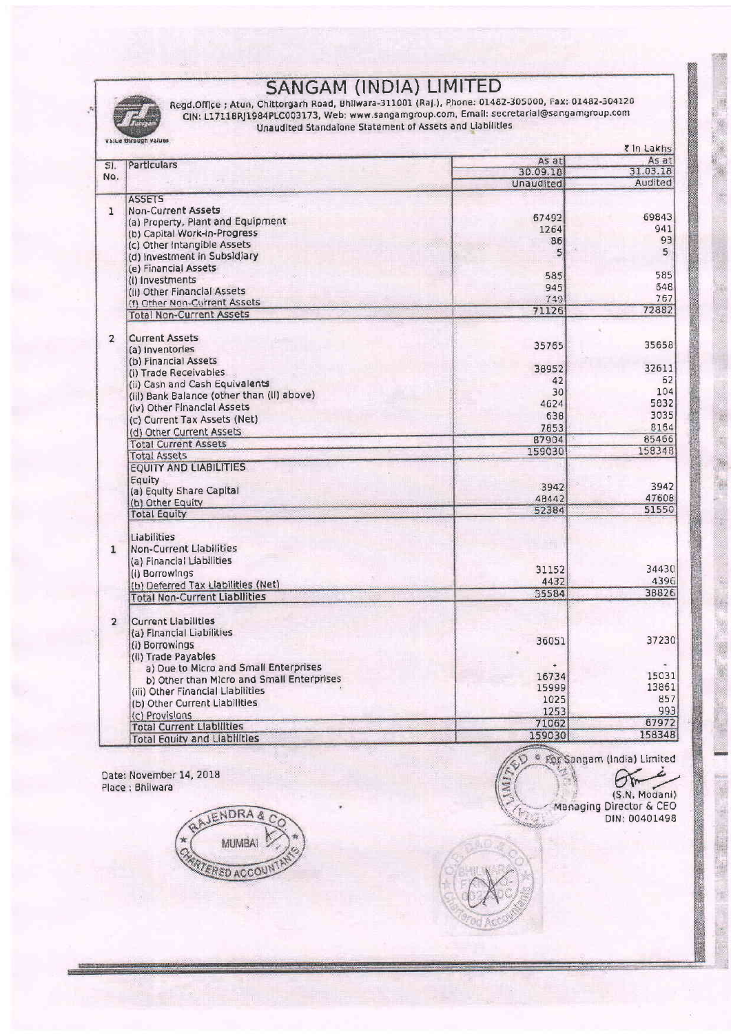|                | Regd.Office ; Atun, Chittorgarh Road, Bhilwara-311001 (Raj.), Phone: 01482-305000, Fax: 01482-304120<br>CIN: L17118RJ1984PLC003173, Web: www.sangamgroup.com, Email: secretarial@sangamgroup.com<br>Unaudited Standalone Statement of Assets and Liabilities |              |          |  |  |  |  |
|----------------|--------------------------------------------------------------------------------------------------------------------------------------------------------------------------------------------------------------------------------------------------------------|--------------|----------|--|--|--|--|
|                | Value through values                                                                                                                                                                                                                                         | t In Lakhs   |          |  |  |  |  |
| SI.            | <b>Particulars</b>                                                                                                                                                                                                                                           | As at        | As at    |  |  |  |  |
| No.            |                                                                                                                                                                                                                                                              | 30.09.18     | 31.03.18 |  |  |  |  |
|                |                                                                                                                                                                                                                                                              | Unaudited    | Audited  |  |  |  |  |
|                | <b>ASSETS</b>                                                                                                                                                                                                                                                |              |          |  |  |  |  |
| $\mathbf{1}$   | <b>Non-Current Assets</b>                                                                                                                                                                                                                                    | 67492        | 69843    |  |  |  |  |
|                | (a) Property, Plant and Equipment                                                                                                                                                                                                                            | 1264         | 941      |  |  |  |  |
|                | (b) Capital Work-in-Progress                                                                                                                                                                                                                                 | 86           | 93       |  |  |  |  |
|                | (c) Other Intangible Assets                                                                                                                                                                                                                                  | $\mathsf{s}$ | 5        |  |  |  |  |
|                | (d) Investment in Subsidiary                                                                                                                                                                                                                                 |              |          |  |  |  |  |
|                | (e) Financial Assets                                                                                                                                                                                                                                         | 585          | 585      |  |  |  |  |
|                | (I) Investments                                                                                                                                                                                                                                              | 945          | 648      |  |  |  |  |
|                | (ii) Other Financial Assets                                                                                                                                                                                                                                  | 749          | 767      |  |  |  |  |
|                | (f) Other Non-Current Assets                                                                                                                                                                                                                                 | 71126        | 72882    |  |  |  |  |
|                | <b>Total Non-Current Assets</b>                                                                                                                                                                                                                              |              |          |  |  |  |  |
| $\overline{2}$ | <b>Current Assets</b>                                                                                                                                                                                                                                        |              |          |  |  |  |  |
|                | (a) Inventories                                                                                                                                                                                                                                              | 35765        | 35658    |  |  |  |  |
|                | (b) Financial Assets                                                                                                                                                                                                                                         |              |          |  |  |  |  |
|                | (i) Trade Receivables                                                                                                                                                                                                                                        | 38952        | 32611    |  |  |  |  |
|                | (ii) Cash and Cash Equivalents                                                                                                                                                                                                                               | 42           | 62       |  |  |  |  |
|                | (iil) Bank Balance (other than (ii) above)                                                                                                                                                                                                                   | 30           | 104      |  |  |  |  |
|                | (iv) Other Financial Assets                                                                                                                                                                                                                                  | 4624         | 5832     |  |  |  |  |
|                | (c) Current Tax Assets (Net)                                                                                                                                                                                                                                 | 638          | 3035     |  |  |  |  |
|                | (d) Other Current Assets                                                                                                                                                                                                                                     | 7853         | 8164     |  |  |  |  |
|                | <b>Total Current Assets</b>                                                                                                                                                                                                                                  | 87904        | 85466    |  |  |  |  |
|                | <b>Total Assets</b>                                                                                                                                                                                                                                          | 159030       | 158348   |  |  |  |  |
|                | <b>EQUITY AND LIABILITIES</b>                                                                                                                                                                                                                                |              |          |  |  |  |  |
|                | Equity                                                                                                                                                                                                                                                       |              |          |  |  |  |  |
|                | (a) Equity Share Capital                                                                                                                                                                                                                                     | 3942         | 3942     |  |  |  |  |
|                | (b) Other Equity                                                                                                                                                                                                                                             | 48442        | 47608    |  |  |  |  |
|                | <b>Total Equity</b>                                                                                                                                                                                                                                          | 52384        | 51550    |  |  |  |  |
|                |                                                                                                                                                                                                                                                              |              |          |  |  |  |  |
|                | Liabilities                                                                                                                                                                                                                                                  |              |          |  |  |  |  |
| $\mathbf{1}$   | <b>Non-Current Liabilities</b>                                                                                                                                                                                                                               |              |          |  |  |  |  |
|                | (a) Financial Liabilities                                                                                                                                                                                                                                    |              |          |  |  |  |  |
|                | (i) Borrowings                                                                                                                                                                                                                                               | 31152        | 34430    |  |  |  |  |
|                | (b) Deferred Tax Liabilities (Net)                                                                                                                                                                                                                           | 4432         | 4396     |  |  |  |  |
|                | <b>Total Non-Current Liabilities</b>                                                                                                                                                                                                                         | 35584        | 38826    |  |  |  |  |
|                |                                                                                                                                                                                                                                                              |              |          |  |  |  |  |
| $\overline{2}$ | <b>Current Liabilities</b>                                                                                                                                                                                                                                   |              |          |  |  |  |  |
|                | (a) Financial Liabilities                                                                                                                                                                                                                                    | 36051        | 37230    |  |  |  |  |
|                | (i) Borrowings                                                                                                                                                                                                                                               |              |          |  |  |  |  |
|                | (II) Trade Payables                                                                                                                                                                                                                                          |              |          |  |  |  |  |
|                | a) Due to Micro and Small Enterprises                                                                                                                                                                                                                        | 16734        | 15031    |  |  |  |  |
|                | b) Other than Micro and Small Enterprises                                                                                                                                                                                                                    | 15999        | 13861    |  |  |  |  |
|                | (iii) Other Financial Liabilities                                                                                                                                                                                                                            | 1025         | 857      |  |  |  |  |
|                | (b) Other Current Liabilities                                                                                                                                                                                                                                | 1253         | 993      |  |  |  |  |
|                | (c) Provisions                                                                                                                                                                                                                                               | 71062        | 67972    |  |  |  |  |
|                | <b>Total Current Liabilities</b>                                                                                                                                                                                                                             | 159030       | 158348   |  |  |  |  |
|                | <b>Total Equity and Liabilities</b>                                                                                                                                                                                                                          |              |          |  |  |  |  |

Date: November 14, 2018<br>Place : Bhilwara



· For Sangam (India) Limited Y. Ь

 $\sigma$ 

 $\frac{3}{2}$ 2



¥ i.